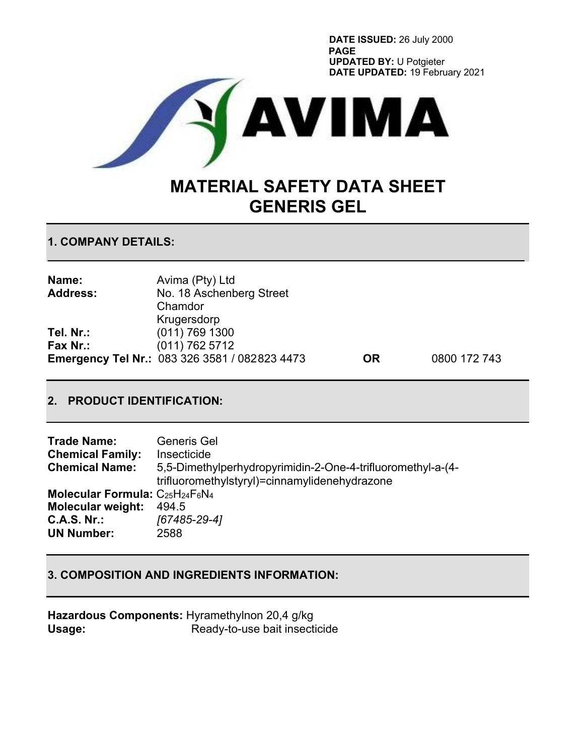**DATE ISSUED:** 26 July 2000 **PAGE UPDATED BY:** U Potgieter **DATE UPDATED:** 19 February 2021



# **MATERIAL SAFETY DATA SHEET GENERIS GEL**

**1. COMPANY DETAILS:**

| Name:           | Avima (Pty) Ltd                               |           |              |
|-----------------|-----------------------------------------------|-----------|--------------|
| <b>Address:</b> | No. 18 Aschenberg Street                      |           |              |
|                 | Chamdor                                       |           |              |
|                 | Krugersdorp                                   |           |              |
| Tel. Nr.:       | $(011)$ 769 1300                              |           |              |
| Fax Nr.:        | (011) 762 5712                                |           |              |
|                 | Emergency Tel Nr.: 083 326 3581 / 082823 4473 | <b>OR</b> | 0800 172 743 |

# **2. PRODUCT IDENTIFICATION:**

| <b>Trade Name:</b>                             | Generis Gel                                                 |
|------------------------------------------------|-------------------------------------------------------------|
| <b>Chemical Family:</b>                        | Insecticide                                                 |
| <b>Chemical Name:</b>                          | 5,5-Dimethylperhydropyrimidin-2-One-4-trifluoromethyl-a-(4- |
|                                                | trifluoromethylstyryl)=cinnamylidenehydrazone               |
| <b>Molecular Formula:</b> $C_{25}H_{24}F_6N_4$ |                                                             |
| <b>Molecular weight:</b>                       | 494.5                                                       |
| <b>C.A.S. Nr.:</b>                             | [67485-29-4]                                                |
| <b>UN Number:</b>                              | 2588                                                        |

#### **3. COMPOSITION AND INGREDIENTS INFORMATION:**

**Hazardous Components:** Hyramethylnon 20,4 g/kg Usage: Ready-to-use bait insecticide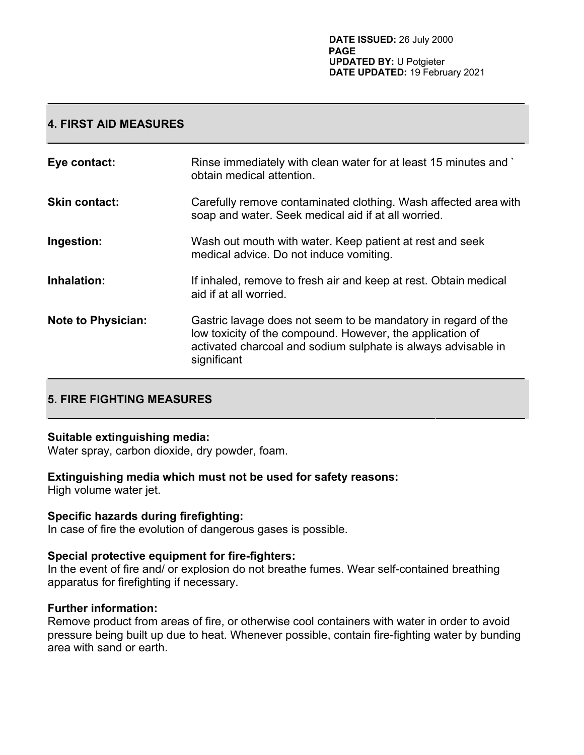#### **4. FIRST AID MEASURES**

| Eye contact:              | Rinse immediately with clean water for at least 15 minutes and<br>obtain medical attention.                                                                                                                |
|---------------------------|------------------------------------------------------------------------------------------------------------------------------------------------------------------------------------------------------------|
| <b>Skin contact:</b>      | Carefully remove contaminated clothing. Wash affected area with<br>soap and water. Seek medical aid if at all worried.                                                                                     |
| Ingestion:                | Wash out mouth with water. Keep patient at rest and seek<br>medical advice. Do not induce vomiting.                                                                                                        |
| Inhalation:               | If inhaled, remove to fresh air and keep at rest. Obtain medical<br>aid if at all worried.                                                                                                                 |
| <b>Note to Physician:</b> | Gastric lavage does not seem to be mandatory in regard of the<br>low toxicity of the compound. However, the application of<br>activated charcoal and sodium sulphate is always advisable in<br>significant |

# **5. FIRE FIGHTING MEASURES**

#### **Suitable extinguishing media:**

Water spray, carbon dioxide, dry powder, foam.

#### **Extinguishing media which must not be used for safety reasons:**

High volume water jet.

#### **Specific hazards during firefighting:**

In case of fire the evolution of dangerous gases is possible.

#### **Special protective equipment for fire-fighters:**

In the event of fire and/ or explosion do not breathe fumes. Wear self-contained breathing apparatus for firefighting if necessary.

#### **Further information:**

Remove product from areas of fire, or otherwise cool containers with water in order to avoid pressure being built up due to heat. Whenever possible, contain fire-fighting water by bunding area with sand or earth.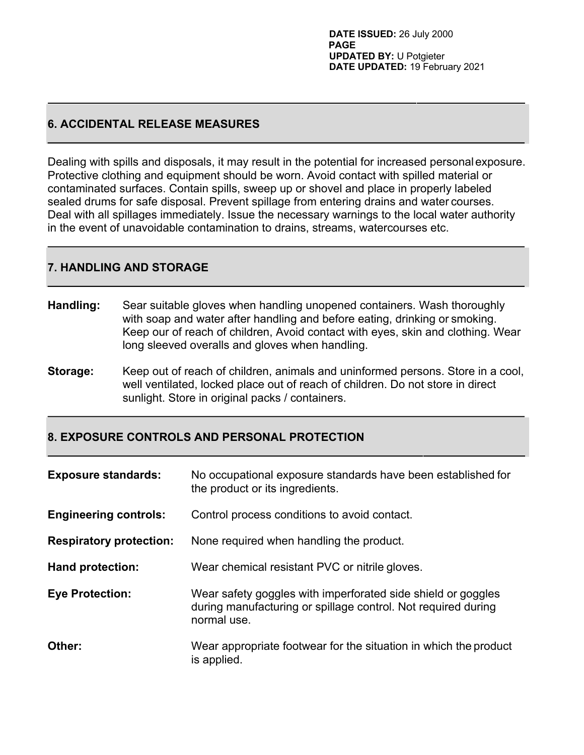#### **6. ACCIDENTAL RELEASE MEASURES**

Dealing with spills and disposals, it may result in the potential for increased personalexposure. Protective clothing and equipment should be worn. Avoid contact with spilled material or contaminated surfaces. Contain spills, sweep up or shovel and place in properly labeled sealed drums for safe disposal. Prevent spillage from entering drains and water courses. Deal with all spillages immediately. Issue the necessary warnings to the local water authority in the event of unavoidable contamination to drains, streams, watercourses etc.

# **7. HANDLING AND STORAGE**

- **Handling:** Sear suitable gloves when handling unopened containers. Wash thoroughly with soap and water after handling and before eating, drinking or smoking. Keep our of reach of children, Avoid contact with eyes, skin and clothing. Wear long sleeved overalls and gloves when handling.
- **Storage:** Keep out of reach of children, animals and uninformed persons. Store in a cool, well ventilated, locked place out of reach of children. Do not store in direct sunlight. Store in original packs / containers.

#### **8. EXPOSURE CONTROLS AND PERSONAL PROTECTION**

| <b>Exposure standards:</b>     | No occupational exposure standards have been established for<br>the product or its ingredients.                                              |
|--------------------------------|----------------------------------------------------------------------------------------------------------------------------------------------|
| <b>Engineering controls:</b>   | Control process conditions to avoid contact.                                                                                                 |
| <b>Respiratory protection:</b> | None required when handling the product.                                                                                                     |
| <b>Hand protection:</b>        | Wear chemical resistant PVC or nitrile gloves.                                                                                               |
| <b>Eye Protection:</b>         | Wear safety goggles with imperforated side shield or goggles<br>during manufacturing or spillage control. Not required during<br>normal use. |
| Other:                         | Wear appropriate footwear for the situation in which the product<br>is applied.                                                              |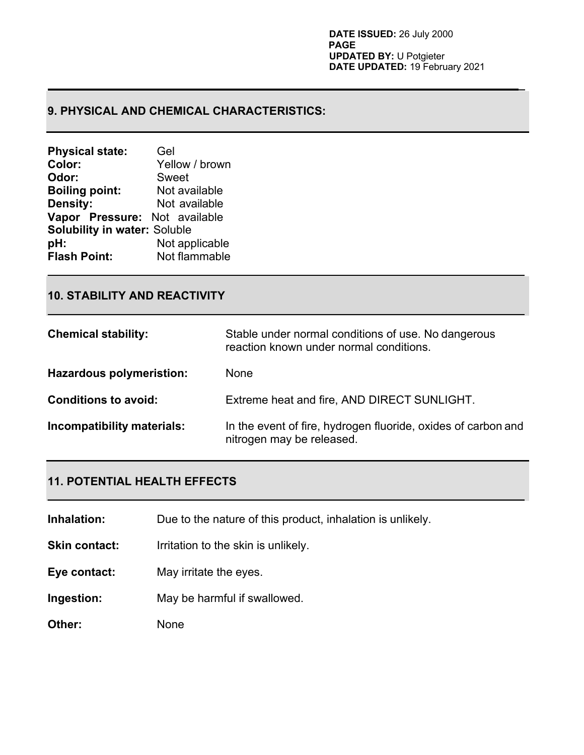**\_**

# **9. PHYSICAL AND CHEMICAL CHARACTERISTICS:**

| <b>Physical state:</b>              | Gel            |  |
|-------------------------------------|----------------|--|
| Color:                              | Yellow / brown |  |
| Odor:                               | <b>Sweet</b>   |  |
| <b>Boiling point:</b>               | Not available  |  |
| <b>Density:</b>                     | Not available  |  |
| Vapor Pressure: Not available       |                |  |
| <b>Solubility in water: Soluble</b> |                |  |
| pH:                                 | Not applicable |  |
| <b>Flash Point:</b>                 | Not flammable  |  |

# **10. STABILITY AND REACTIVITY**

| <b>Chemical stability:</b>      | Stable under normal conditions of use. No dangerous<br>reaction known under normal conditions. |
|---------------------------------|------------------------------------------------------------------------------------------------|
| <b>Hazardous polymeristion:</b> | None                                                                                           |
| <b>Conditions to avoid:</b>     | Extreme heat and fire, AND DIRECT SUNLIGHT.                                                    |
| Incompatibility materials:      | In the event of fire, hydrogen fluoride, oxides of carbon and<br>nitrogen may be released.     |

# **11. POTENTIAL HEALTH EFFECTS**

**Inhalation:** Due to the nature of this product, inhalation is unlikely.

**Skin contact:** Irritation to the skin is unlikely.

**Eye contact:** May irritate the eyes.

**Ingestion:** May be harmful if swallowed.

**Other:** None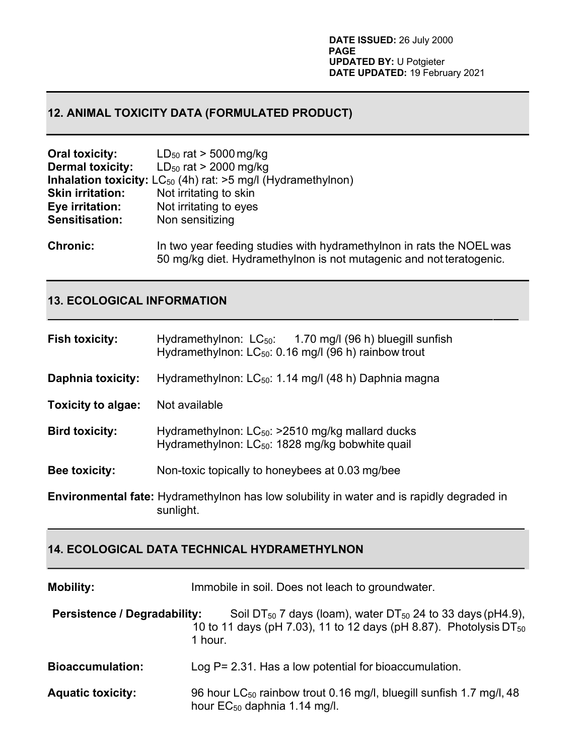# **12. ANIMAL TOXICITY DATA (FORMULATED PRODUCT)**

| <b>Oral toxicity:</b>   | $LD_{50}$ rat > 5000 mg/kg                                                                                                                  |
|-------------------------|---------------------------------------------------------------------------------------------------------------------------------------------|
| <b>Dermal toxicity:</b> | $LD_{50}$ rat > 2000 mg/kg                                                                                                                  |
|                         | <b>Inhalation toxicity:</b> $LC_{50}$ (4h) rat: $>5$ mg/l (Hydramethylnon)                                                                  |
| <b>Skin irritation:</b> | Not irritating to skin                                                                                                                      |
| Eye irritation:         | Not irritating to eyes                                                                                                                      |
| <b>Sensitisation:</b>   | Non sensitizing                                                                                                                             |
| <b>Chronic:</b>         | In two year feeding studies with hydramethylnon in rats the NOEL was<br>50 mg/kg diet. Hydramethylnon is not mutagenic and not teratogenic. |

### **13. ECOLOGICAL INFORMATION**

| <b>Fish toxicity:</b>     | Hydramethylnon: $LC_{50}$ : 1.70 mg/l (96 h) bluegill sunfish<br>Hydramethylnon: $LC_{50}$ : 0.16 mg/l (96 h) rainbow trout |
|---------------------------|-----------------------------------------------------------------------------------------------------------------------------|
| <b>Daphnia toxicity:</b>  | Hydramethylnon: LC <sub>50</sub> : 1.14 mg/l (48 h) Daphnia magna                                                           |
| <b>Toxicity to algae:</b> | Not available                                                                                                               |
| <b>Bird toxicity:</b>     | Hydramethylnon: $LC_{50}$ : >2510 mg/kg mallard ducks<br>Hydramethylnon: LC <sub>50</sub> : 1828 mg/kg bobwhite quail       |
| <b>Bee toxicity:</b>      | Non-toxic topically to honeybees at 0.03 mg/bee                                                                             |
|                           | <b>Environmental fate:</b> Hydramethylnon has low solubility in water and is rapidly degraded in<br>sunlight.               |

# **14. ECOLOGICAL DATA TECHNICAL HYDRAMETHYLNON**

| <b>Mobility:</b>                    | Immobile in soil. Does not leach to groundwater.                                                                                                            |  |
|-------------------------------------|-------------------------------------------------------------------------------------------------------------------------------------------------------------|--|
| <b>Persistence / Degradability:</b> | Soil DT $_{50}$ 7 days (loam), water DT $_{50}$ 24 to 33 days (pH4.9),<br>10 to 11 days (pH 7.03), 11 to 12 days (pH 8.87). Photolysis $DT_{50}$<br>1 hour. |  |
| <b>Bioaccumulation:</b>             | Log $P = 2.31$ . Has a low potential for bioaccumulation.                                                                                                   |  |
| <b>Aquatic toxicity:</b>            | 96 hour LC <sub>50</sub> rainbow trout 0.16 mg/l, bluegill sunfish 1.7 mg/l, 48<br>hour EC <sub>50</sub> daphnia 1.14 mg/l.                                 |  |